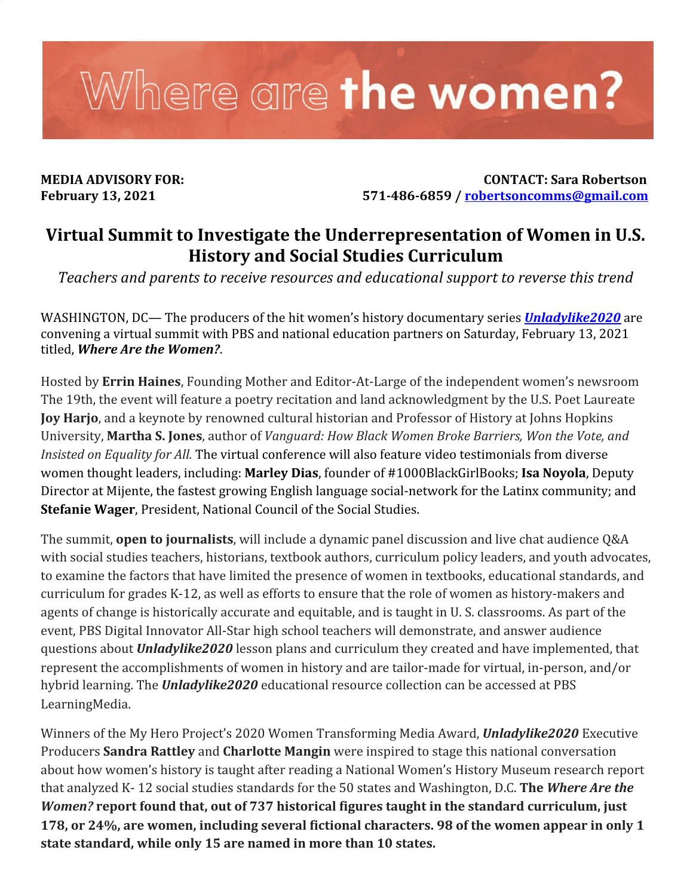

**MEDIA ADVISORY FOR: CONTACT: Sara Robertson February 13, 2021 571-486-6859 / [robertsoncomms@gmail.com](mailto:robertsoncomms@gmail.com)**

## **Virtual Summit to Investigate the Underrepresentation of Women in U.S. History and Social Studies Curriculum**

*Teachers and parents to receive resources and educational support to reverse this trend*

WASHINGTON, DC— The producers of the hit women's history documentary series *[Unladylike2020](https://unladylike2020.com/)* are convening a virtual summit with PBS and national education partners on Saturday, February 13, 2021 titled, *Where Are the Women?*.

Hosted by **Errin Haines**, Founding Mother and Editor-At-Large of the independent women's newsroom The 19th, the event will feature a poetry recitation and land acknowledgment by the U.S. Poet Laureate **Joy Harjo**, and a keynote by renowned cultural historian and Professor of History at Johns Hopkins University, **Martha S. Jones**, author of *Vanguard: How Black Women Broke Barriers, Won the Vote, and Insisted on Equality for All.* The virtual conference will also feature video testimonials from diverse women thought leaders, including: **Marley Dias**, founder of #1000BlackGirlBooks; **Isa Noyola**, Deputy Director at Mijente, the fastest growing English language social-network for the Latinx community; and **Stefanie Wager**, President, National Council of the Social Studies.

The summit, **open to journalists**, will include a dynamic panel discussion and live chat audience Q&A with social studies teachers, historians, textbook authors, curriculum policy leaders, and youth advocates, to examine the factors that have limited the presence of women in textbooks, educational standards, and curriculum for grades K-12, as well as efforts to ensure that the role of women as history-makers and agents of change is historically accurate and equitable, and is taught in U. S. classrooms. As part of the event, PBS Digital Innovator All-Star high school teachers will demonstrate, and answer audience questions about *Unladylike2020* lesson plans and curriculum they created and have implemented, that represent the accomplishments of women in history and are tailor-made for virtual, in-person, and/or hybrid learning. The *Unladylike2020* educational resource collection can be accessed at PBS LearningMedia.

Winners of the My Hero Project's 2020 Women Transforming Media Award, *Unladylike2020* Executive Producers **Sandra Rattley** and **Charlotte Mangin** were inspired to stage this national conversation about how women's history is taught after reading a National Women's History Museum research report that analyzed K- 12 social studies standards for the 50 states and Washington, D.C. **The** *Where Are the Women?* **report found that, out of 737 historical figures taught in the standard curriculum, just 178, or 24%, are women, including several fictional characters. 98 of the women appear in only 1 state standard, while only 15 are named in more than 10 states.**